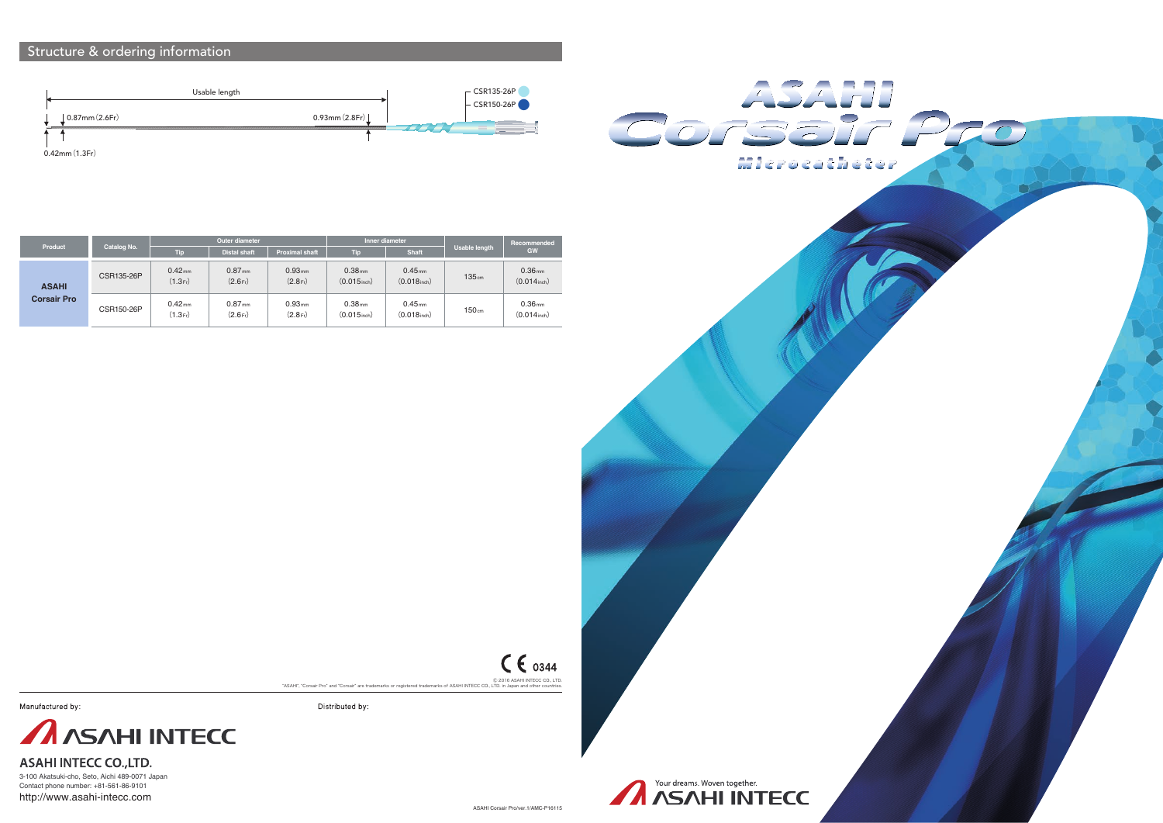3-100 Akatsuki-cho, Seto, Aichi 489-0071 Japan Contact phone number: +81-561-86-9101 http://www.asahi-intecc.com

Distributed by:

### Structure & ordering information







| Your dreams. Woven together. |  |  |  |  |  |
|------------------------------|--|--|--|--|--|
| <b>A ASAHI INTECC</b>        |  |  |  |  |  |

| Product                            | Catalog No. | Outer diameter               |                                |                              | Inner diameter                       |                                        |                      | Recommended                                   |
|------------------------------------|-------------|------------------------------|--------------------------------|------------------------------|--------------------------------------|----------------------------------------|----------------------|-----------------------------------------------|
|                                    |             | Tip.                         | <b>Distal shaft</b>            | <b>Proximal shaft</b>        | Tip                                  | <b>Shaft</b>                           | <b>Usable length</b> | GW                                            |
| <b>ASAHI</b><br><b>Corsair Pro</b> | CSR135-26P  | 0.42 <sub>mm</sub><br>(1.3F) | $0.87$ <sub>mm</sub><br>(2.6F) | 0.93 <sub>mm</sub><br>(2.8F) | 0.38 <sub>mm</sub><br>$(0.015)$ inch | $0.45$ <sub>mm</sub><br>$(0.018$ inch) | 135cm                | 0.36 <sub>mm</sub><br>$(0.014)$ inch          |
|                                    | CSR150-26P  | 0.42 <sub>mm</sub><br>(1.3F) | 0.87 <sub>mm</sub><br>(2.6F)   | 0.93 <sub>mm</sub><br>(2.8F) | 0.38 <sub>mm</sub><br>$(0.015)$ inch | 0.45 <sub>mm</sub><br>$(0.018$ inch)   | 150 <sub>cm</sub>    | 0.36 <sub>mm</sub><br>$(0.014_{\text{inch}})$ |

## $C \epsilon_{0344}$

© 2016 ASAHI INTECC CO., LTD.<br>ASAHI", "Corsair Pro" and "Corsair" are trademarks or registered trademarks of ASAHI INTECC CO., LTD. in Japan and other countries.

Manufactured by:



**ASAHI INTECC CO., LTD.**